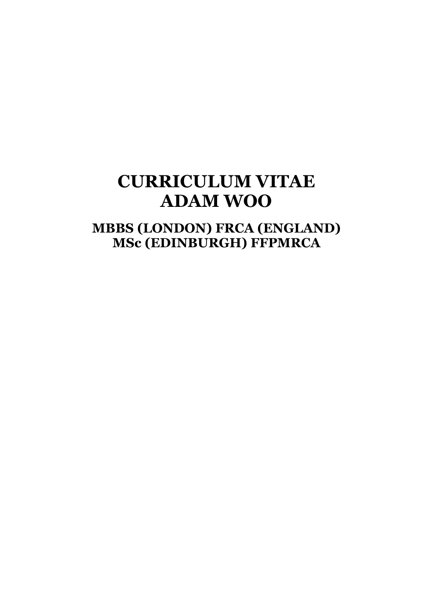# **CURRICULUM VITAE ADAM WOO**

## **MBBS (LONDON) FRCA (ENGLAND) MSc (EDINBURGH) FFPMRCA**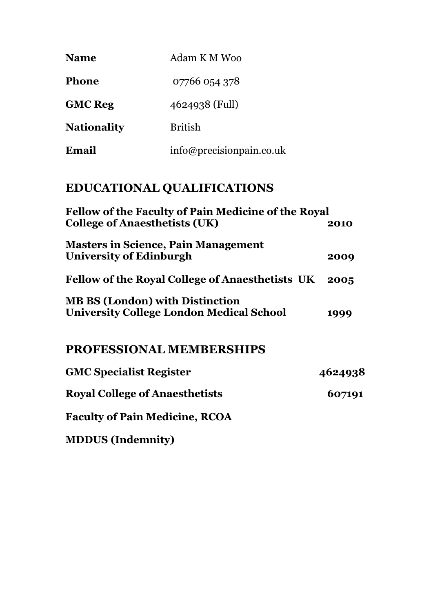| <b>Name</b>        | Adam K M Woo              |
|--------------------|---------------------------|
| <b>Phone</b>       | 07766 054 378             |
| <b>GMC</b> Reg     | 4624938 (Full)            |
| <b>Nationality</b> | <b>British</b>            |
| Email              | info@precision pain.co.uk |

## **EDUCATIONAL QUALIFICATIONS**

| 2010<br>2009<br><b>Fellow of the Royal College of Anaesthetists UK</b><br>2005<br>1999 | <b>Fellow of the Faculty of Pain Medicine of the Royal</b>                                |         |  |
|----------------------------------------------------------------------------------------|-------------------------------------------------------------------------------------------|---------|--|
|                                                                                        | <b>College of Anaesthetists (UK)</b>                                                      |         |  |
|                                                                                        | <b>Masters in Science, Pain Management</b><br>University of Edinburgh                     |         |  |
|                                                                                        |                                                                                           |         |  |
|                                                                                        | <b>MB BS (London) with Distinction</b><br><b>University College London Medical School</b> |         |  |
|                                                                                        | PROFESSIONAL MEMBERSHIPS                                                                  |         |  |
|                                                                                        | <b>GMC Specialist Register</b>                                                            | 4624938 |  |
|                                                                                        | <b>Royal College of Anaesthetists</b>                                                     | 607191  |  |
|                                                                                        | <b>Faculty of Pain Medicine, RCOA</b>                                                     |         |  |

**MDDUS (Indemnity)**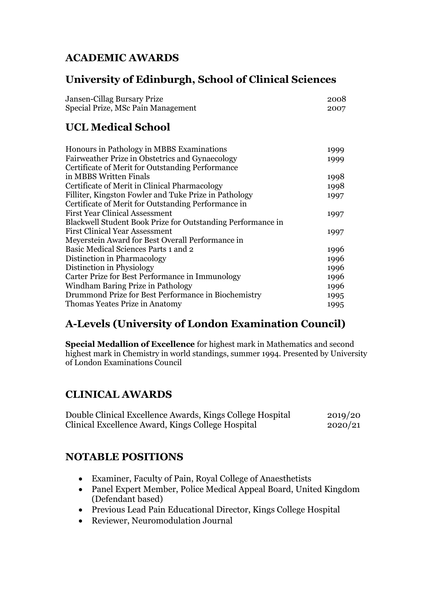## **ACADEMIC AWARDS**

## **University of Edinburgh, School of Clinical Sciences**

| Jansen-Cillag Bursary Prize        | 2008 |
|------------------------------------|------|
| Special Prize, MSc Pain Management | 2007 |

## **UCL Medical School**

| 1999 |
|------|
| 1999 |
|      |
| 1998 |
| 1998 |
| 1997 |
|      |
| 1997 |
|      |
| 1997 |
|      |
| 1996 |
| 1996 |
| 1996 |
| 1996 |
| 1996 |
| 1995 |
| 1995 |
|      |

## **A-Levels (University of London Examination Council)**

**Special Medallion of Excellence** for highest mark in Mathematics and second highest mark in Chemistry in world standings, summer 1994. Presented by University of London Examinations Council

## **CLINICAL AWARDS**

| Double Clinical Excellence Awards, Kings College Hospital | 2019/20 |
|-----------------------------------------------------------|---------|
| Clinical Excellence Award, Kings College Hospital         | 2020/21 |

## **NOTABLE POSITIONS**

- Examiner, Faculty of Pain, Royal College of Anaesthetists
- Panel Expert Member, Police Medical Appeal Board, United Kingdom (Defendant based)
- Previous Lead Pain Educational Director, Kings College Hospital
- Reviewer, Neuromodulation Journal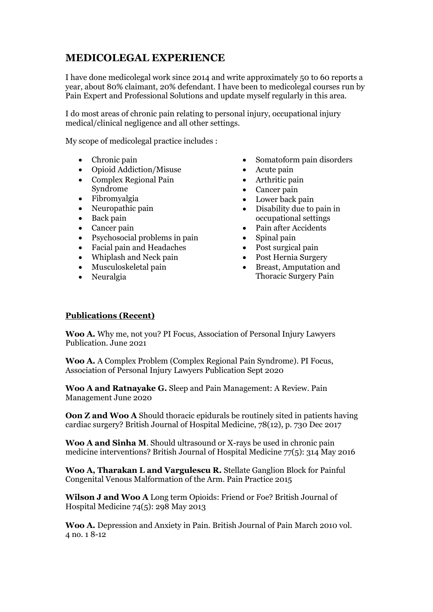## **MEDICOLEGAL EXPERIENCE**

I have done medicolegal work since 2014 and write approximately 50 to 60 reports a year, about 80% claimant, 20% defendant. I have been to medicolegal courses run by Pain Expert and Professional Solutions and update myself regularly in this area.

I do most areas of chronic pain relating to personal injury, occupational injury medical/clinical negligence and all other settings.

My scope of medicolegal practice includes :

- Chronic pain
- Opioid Addiction/Misuse
- Complex Regional Pain Syndrome
- Fibromyalgia
- Neuropathic pain
- Back pain
- Cancer pain
- Psychosocial problems in pain
- Facial pain and Headaches
- Whiplash and Neck pain
- Musculoskeletal pain
- Neuralgia
- Somatoform pain disorders
- Acute pain
- Arthritic pain
- Cancer pain
- Lower back pain
- Disability due to pain in occupational settings
- Pain after Accidents
- Spinal pain
- Post surgical pain
- Post Hernia Surgery
- Breast, Amputation and Thoracic Surgery Pain

#### **Publications (Recent)**

**Woo A.** Why me, not you? PI Focus, Association of Personal Injury Lawyers Publication. June 2021

**Woo A.** A Complex Problem (Complex Regional Pain Syndrome). PI Focus, Association of Personal Injury Lawyers Publication Sept 2020

**Woo A and Ratnayake G.** Sleep and Pain Management: A Review. Pain Management June 2020

**Oon Z and Woo A** Should thoracic epidurals be routinely sited in patients having cardiac surgery? British Journal of Hospital Medicine, 78(12), p. 730 Dec 2017

**Woo A and Sinha M**. Should ultrasound or X-rays be used in chronic pain medicine interventions? British Journal of Hospital Medicine 77(5): 314 May 2016

**Woo A, Tharakan L and Vargulescu R.** Stellate Ganglion Block for Painful Congenital Venous Malformation of the Arm. Pain Practice 2015

**Wilson J and Woo A** Long term Opioids: Friend or Foe? British Journal of Hospital Medicine 74(5):  $298$  May  $2013$ 

**Woo A.** Depression and Anxiety in Pain. British Journal of Pain March 2010 vol. 4 no. 1 8-12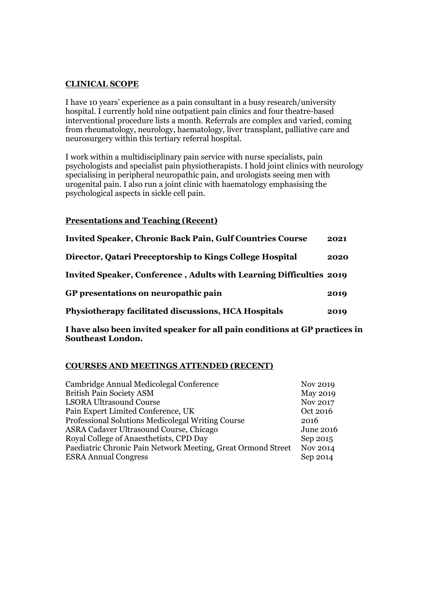#### **CLINICAL SCOPE**

I have 10 years' experience as a pain consultant in a busy research/university hospital. I currently hold nine outpatient pain clinics and four theatre-based interventional procedure lists a month. Referrals are complex and varied, coming from rheumatology, neurology, haematology, liver transplant, palliative care and neurosurgery within this tertiary referral hospital.

I work within a multidisciplinary pain service with nurse specialists, pain psychologists and specialist pain physiotherapists. I hold joint clinics with neurology specialising in peripheral neuropathic pain, and urologists seeing men with urogenital pain. I also run a joint clinic with haematology emphasising the psychological aspects in sickle cell pain.

#### **Presentations and Teaching (Recent)**

| <b>Invited Speaker, Chronic Back Pain, Gulf Countries Course</b>    | 2021 |
|---------------------------------------------------------------------|------|
| Director, Qatari Preceptorship to Kings College Hospital            | 2020 |
| Invited Speaker, Conference, Adults with Learning Difficulties 2019 |      |
| GP presentations on neuropathic pain                                | 2019 |
| Physiotherapy facilitated discussions, HCA Hospitals                | 2019 |

**I have also been invited speaker for all pain conditions at GP practices in Southeast London.**

#### **COURSES AND MEETINGS ATTENDED (RECENT)**

| Cambridge Annual Medicolegal Conference                      | Nov 2019         |
|--------------------------------------------------------------|------------------|
| <b>British Pain Society ASM</b>                              | <b>May 2019</b>  |
| <b>LSORA Ultrasound Course</b>                               | Nov 2017         |
| Pain Expert Limited Conference, UK                           | Oct 2016         |
| Professional Solutions Medicolegal Writing Course            | 2016             |
| ASRA Cadaver Ultrasound Course, Chicago                      | <b>June 2016</b> |
| Royal College of Anaesthetists, CPD Day                      | Sep 2015         |
| Paediatric Chronic Pain Network Meeting, Great Ormond Street | Nov 2014         |
| <b>ESRA Annual Congress</b>                                  | Sep 2014         |
|                                                              |                  |